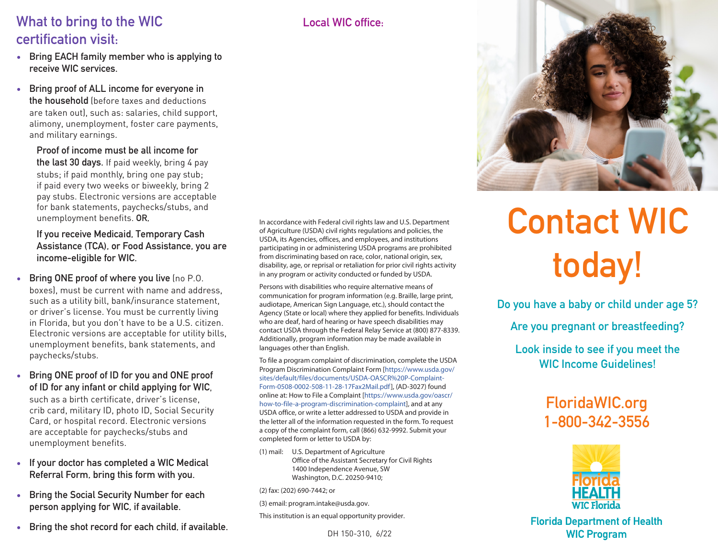### What to bring to the WIC certification visit:

- Bring EACH family member who is applying to receive WIC services.
- Bring proof of ALL income for everyone in the household (before taxes and deductions are taken out), such as: salaries, child support, alimony, unemployment, foster care payments, and military earnings.

Proof of income must be all income for the last 30 days. If paid weekly, bring 4 pay stubs; if paid monthly, bring one pay stub; if paid every two weeks or biweekly, bring 2 pay stubs. Electronic versions are acceptable for bank statements, paychecks/stubs, and unemployment benefits. OR,

If you receive Medicaid, Temporary Cash Assistance (TCA), or Food Assistance, you are income-eligible for WIC.

- Bring ONE proof of where you live (no P.O. boxes), must be current with name and address, such as a utility bill, bank/insurance statement, or driver's license. You must be currently living in Florida, but you don't have to be a U.S. citizen. Electronic versions are acceptable for utility bills, unemployment benefits, bank statements, and paychecks/stubs.
- Bring ONE proof of ID for you and ONE proof of ID for any infant or child applying for WIC, such as a birth certificate, driver's license, crib card, military ID, photo ID, Social Security Card, or hospital record. Electronic versions are acceptable for paychecks/stubs and unemployment benefits.
- If your doctor has completed a WIC Medical Referral Form, bring this form with you.
- Bring the Social Security Number for each person applying for WIC, if available.
- Bring the shot record for each child, if available.

Local WIC office:



Persons with disabilities who require alternative means of communication for program information (e.g. Braille, large print, audiotape, American Sign Language, etc.), should contact the Agency (State or local) where they applied for benefits. Individuals who are deaf, hard of hearing or have speech disabilities may contact USDA through the Federal Relay Service at (800) 877-8339. Additionally, program information may be made available in languages other than English.

To file a program complaint of discrimination, complete the USDA Program Discrimination Complaint Form [https://www.usda.gov/ sites/default/files/documents/USDA-OASCR%20P-Complaint-Form-0508-0002-508-11-28-17Fax2Mail.pdf], (AD-3027) found online at: How to File a Complaint [https://www.usda.gov/oascr/ how-to-file-a-program-discrimination-complaint], and at any USDA office, or write a letter addressed to USDA and provide in the letter all of the information requested in the form. To request a copy of the complaint form, call (866) 632-9992. Submit your completed form or letter to USDA by:

(1) mail: U.S. Department of Agriculture Office of the Assistant Secretary for Civil Rights 1400 Independence Avenue, SW Washington, D.C. 20250-9410;

(2) fax: (202) 690-7442; or

(3) email: program.intake@usda.gov.

This institution is an equal opportunity provider.

DH 150-310, 6/22



# Contact WIC today!

Do you have a baby or child under age 5?

Are you pregnant or breastfeeding?

Look inside to see if you meet the WIC Income Guidelines!

# FloridaWIC.org 1-800-342-3556



Florida Department of Health WIC Program